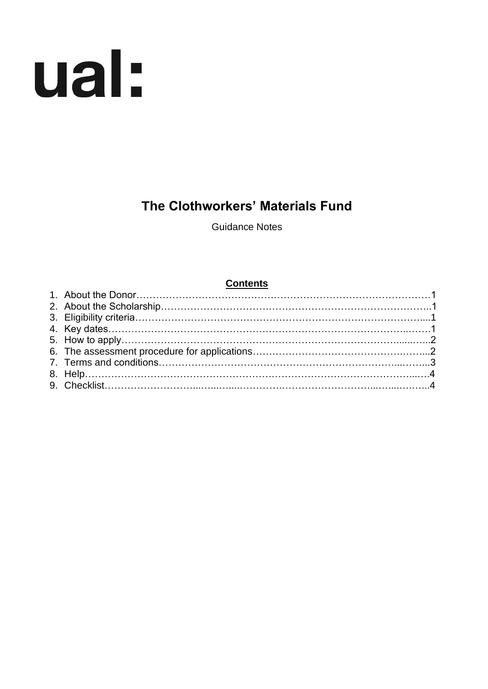# ual:

# **The Clothworkers' Materials Fund**

Guidance Notes

#### **Contents**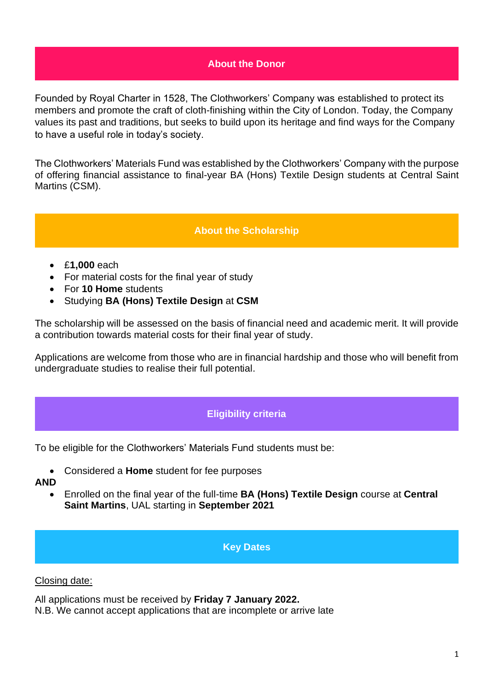# **About the Donor**

Founded by Royal Charter in 1528, The Clothworkers' Company was established to protect its members and promote the craft of cloth-finishing within the City of London. Today, the Company values its past and traditions, but seeks to build upon its heritage and find ways for the Company to have a useful role in today's society.

The Clothworkers' Materials Fund was established by the Clothworkers' Company with the purpose of offering financial assistance to final-year BA (Hons) Textile Design students at Central Saint Martins (CSM).

# **About the Scholarship**

- £**1,000** each
- For material costs for the final year of study
- For **10 Home** students
- Studying **BA (Hons) Textile Design** at **CSM**

The scholarship will be assessed on the basis of financial need and academic merit. It will provide a contribution towards material costs for their final year of study.

Applications are welcome from those who are in financial hardship and those who will benefit from undergraduate studies to realise their full potential.

# **Eligibility criteria**

To be eligible for the Clothworkers' Materials Fund students must be:

• Considered a **Home** student for fee purposes

#### **AND**

• Enrolled on the final year of the full-time **BA (Hons) Textile Design** course at **Central Saint Martins**, UAL starting in **September 2021**

#### **Key Dates**

#### Closing date:

All applications must be received by **Friday 7 January 2022.**

N.B. We cannot accept applications that are incomplete or arrive late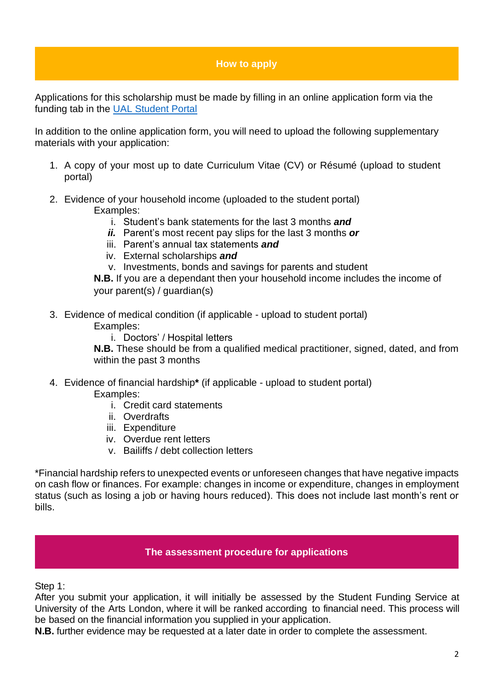# **How to apply**

Applications for this scholarship must be made by filling in an online application form via the funding tab in the [UAL Student Portal](https://sits.arts.ac.uk/urd/sits.urd/run/SIW_LGN)

In addition to the online application form, you will need to upload the following supplementary materials with your application:

- 1. A copy of your most up to date Curriculum Vitae (CV) or Résumé (upload to student portal)
- 2. Evidence of your household income (uploaded to the student portal) Examples:
	- i. Student's bank statements for the last 3 months *and*
	- *ii.* Parent's most recent pay slips for the last 3 months *or*
	- iii. Parent's annual tax statements *and*
	- iv. External scholarships *and*
	- v. Investments, bonds and savings for parents and student

**N.B.** If you are a dependant then your household income includes the income of your parent(s) / guardian(s)

- 3. Evidence of medical condition (if applicable upload to student portal) Examples:
	- i. Doctors' / Hospital letters

**N.B.** These should be from a qualified medical practitioner, signed, dated, and from within the past 3 months

- 4. Evidence of financial hardship**\*** (if applicable upload to student portal) Examples:
	- i. Credit card statements
	- ii. Overdrafts
	- iii. Expenditure
	- iv. Overdue rent letters
	- v. Bailiffs / debt collection letters

\*Financial hardship refers to unexpected events or unforeseen changes that have negative impacts on cash flow or finances. For example: changes in income or expenditure, changes in employment status (such as losing a job or having hours reduced). This does not include last month's rent or bills.

#### **The assessment procedure for applications**

Step 1:

After you submit your application, it will initially be assessed by the Student Funding Service at University of the Arts London, where it will be ranked according to financial need. This process will be based on the financial information you supplied in your application.

**N.B.** further evidence may be requested at a later date in order to complete the assessment.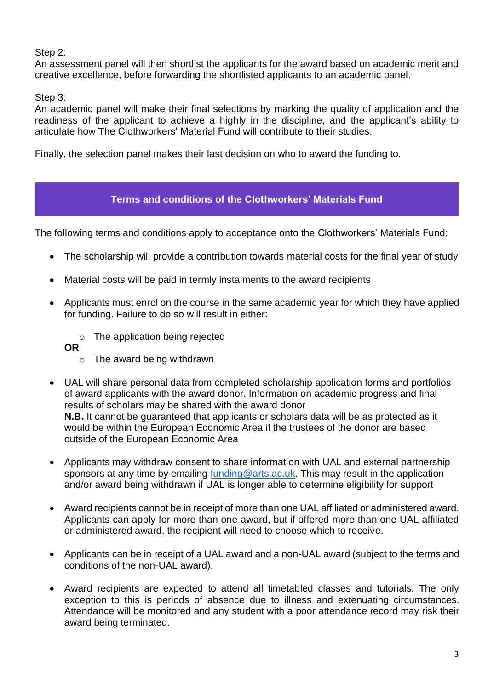# Step 2:

An assessment panel will then shortlist the applicants for the award based on academic merit and creative excellence, before forwarding the shortlisted applicants to an academic panel.

# Step 3:

An academic panel will make their final selections by marking the quality of application and the readiness of the applicant to achieve a highly in the discipline, and the applicant's ability to articulate how The Clothworkers' Material Fund will contribute to their studies.

Finally, the selection panel makes their last decision on who to award the funding to.

# **Terms and conditions of the Clothworkers' Materials Fund**

The following terms and conditions apply to acceptance onto the Clothworkers' Materials Fund:

- The scholarship will provide a contribution towards material costs for the final year of study
- Material costs will be paid in termly instalments to the award recipients
- Applicants must enrol on the course in the same academic year for which they have applied for funding. Failure to do so will result in either:
	- o The application being rejected
	- **OR** 
		- o The award being withdrawn
- UAL will share personal data from completed scholarship application forms and portfolios of award applicants with the award donor. Information on academic progress and final results of scholars may be shared with the award donor **N.B.** It cannot be guaranteed that applicants or scholars data will be as protected as it would be within the European Economic Area if the trustees of the donor are based outside of the European Economic Area
- Applicants may withdraw consent to share information with UAL and external partnership sponsors at any time by emailing [funding@arts.ac.uk.](mailto:funding@arts.ac.uk) This may result in the application and/or award being withdrawn if UAL is longer able to determine eligibility for support
- Award recipients cannot be in receipt of more than one UAL affiliated or administered award. Applicants can apply for more than one award, but if offered more than one UAL affiliated or administered award, the recipient will need to choose which to receive.
- Applicants can be in receipt of a UAL award and a non-UAL award (subject to the terms and conditions of the non-UAL award).
- Award recipients are expected to attend all timetabled classes and tutorials. The only exception to this is periods of absence due to illness and extenuating circumstances. Attendance will be monitored and any student with a poor attendance record may risk their award being terminated.